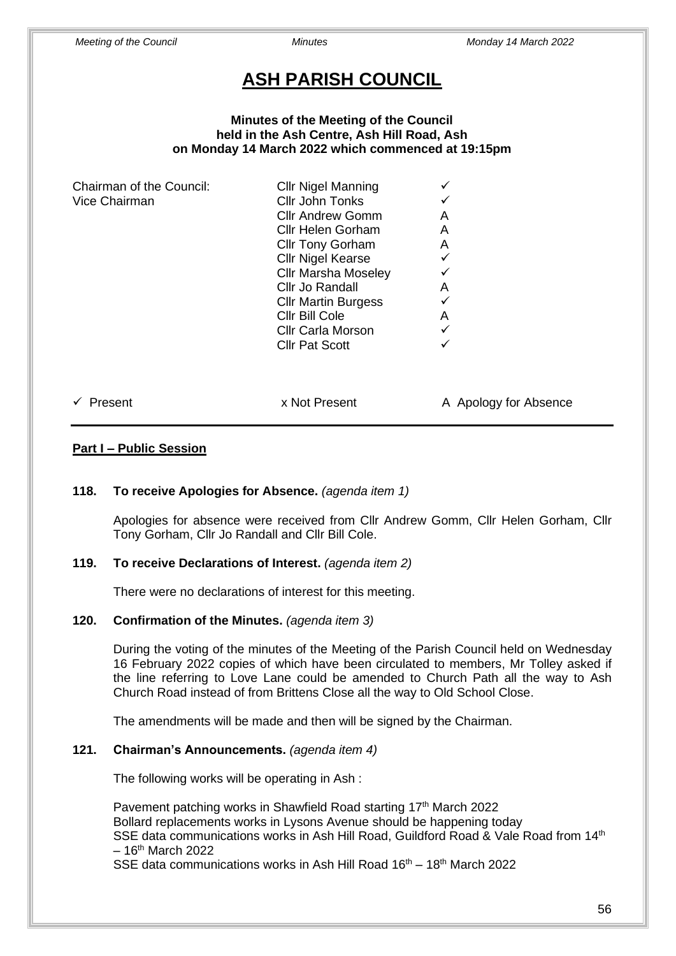# **ASH PARISH COUNCIL**

#### **Minutes of the Meeting of the Council held in the Ash Centre, Ash Hill Road, Ash on Monday 14 March 2022 which commenced at 19:15pm**

| Chairman of the Council: | <b>Cllr Nigel Manning</b>  |   |
|--------------------------|----------------------------|---|
| Vice Chairman            | Cllr John Tonks            |   |
|                          | <b>Cllr Andrew Gomm</b>    | A |
|                          | <b>Cllr Helen Gorham</b>   | A |
|                          | <b>Cllr Tony Gorham</b>    | A |
|                          | <b>Cllr Nigel Kearse</b>   | ✓ |
|                          | <b>Cllr Marsha Moseley</b> |   |
|                          | Cllr Jo Randall            | A |
|                          | <b>CIIr Martin Burgess</b> | ✓ |
|                          | Cllr Bill Cole             | A |
|                          | <b>Cllr Carla Morson</b>   | ✓ |
|                          | <b>Cllr Pat Scott</b>      | ✓ |
|                          |                            |   |
|                          |                            |   |
|                          |                            |   |

✓ Present x Not Present A Apology for Absence

### **Part I – Public Session**

### **118. To receive Apologies for Absence.** *(agenda item 1)*

Apologies for absence were received from Cllr Andrew Gomm, Cllr Helen Gorham, Cllr Tony Gorham, Cllr Jo Randall and Cllr Bill Cole.

### **119. To receive Declarations of Interest.** *(agenda item 2)*

There were no declarations of interest for this meeting.

### **120. Confirmation of the Minutes.** *(agenda item 3)*

During the voting of the minutes of the Meeting of the Parish Council held on Wednesday 16 February 2022 copies of which have been circulated to members, Mr Tolley asked if the line referring to Love Lane could be amended to Church Path all the way to Ash Church Road instead of from Brittens Close all the way to Old School Close.

The amendments will be made and then will be signed by the Chairman.

### **121. Chairman's Announcements.** *(agenda item 4)*

The following works will be operating in Ash :

Pavement patching works in Shawfield Road starting 17<sup>th</sup> March 2022 Bollard replacements works in Lysons Avenue should be happening today SSE data communications works in Ash Hill Road, Guildford Road & Vale Road from 14<sup>th</sup>  $-16$ <sup>th</sup> March 2022

SSE data communications works in Ash Hill Road  $16<sup>th</sup> - 18<sup>th</sup>$  March 2022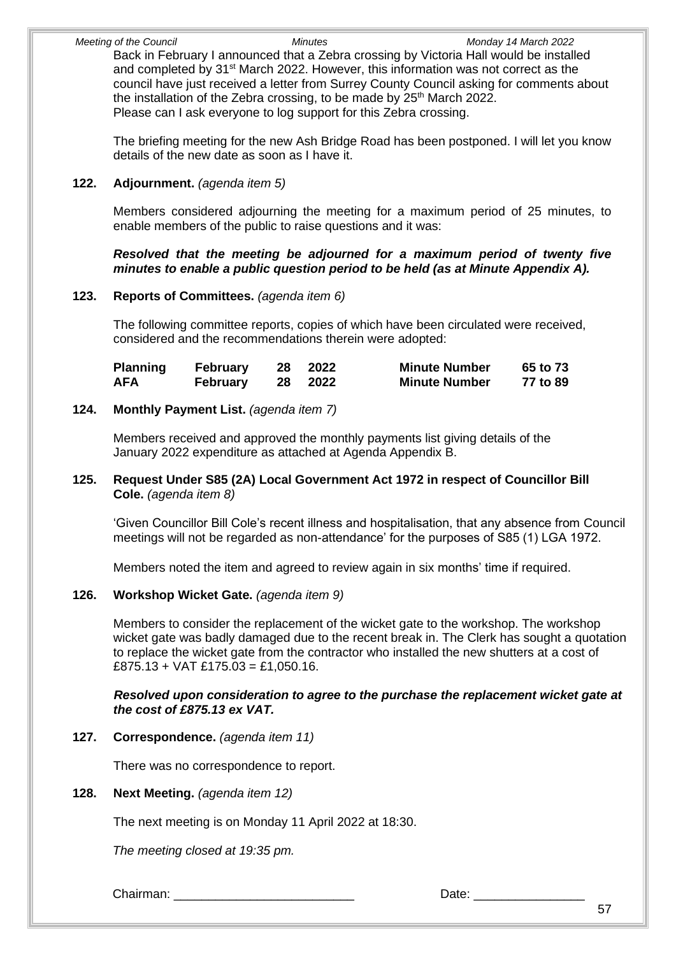*Meeting of the Council Minutes Monday 14 March 2022* Back in February I announced that a Zebra crossing by Victoria Hall would be installed and completed by 31<sup>st</sup> March 2022. However, this information was not correct as the council have just received a letter from Surrey County Council asking for comments about the installation of the Zebra crossing, to be made by 25<sup>th</sup> March 2022. Please can I ask everyone to log support for this Zebra crossing.

The briefing meeting for the new Ash Bridge Road has been postponed. I will let you know details of the new date as soon as I have it.

# **122. Adjournment.** *(agenda item 5)*

Members considered adjourning the meeting for a maximum period of 25 minutes, to enable members of the public to raise questions and it was:

### *Resolved that the meeting be adjourned for a maximum period of twenty five minutes to enable a public question period to be held (as at Minute Appendix A).*

# **123. Reports of Committees.** *(agenda item 6)*

The following committee reports, copies of which have been circulated were received, considered and the recommendations therein were adopted:

| <b>Planning</b> | <b>February</b> | 28 | 2022 | <b>Minute Number</b> | 65 to 73 |
|-----------------|-----------------|----|------|----------------------|----------|
| <b>AFA</b>      | <b>February</b> | 28 | 2022 | <b>Minute Number</b> | 77 to 89 |

# **124. Monthly Payment List.** *(agenda item 7)*

Members received and approved the monthly payments list giving details of the January 2022 expenditure as attached at Agenda Appendix B.

# **125. Request Under S85 (2A) Local Government Act 1972 in respect of Councillor Bill Cole.** *(agenda item 8)*

'Given Councillor Bill Cole's recent illness and hospitalisation, that any absence from Council meetings will not be regarded as non-attendance' for the purposes of S85 (1) LGA 1972.

Members noted the item and agreed to review again in six months' time if required.

# **126. Workshop Wicket Gate.** *(agenda item 9)*

Members to consider the replacement of the wicket gate to the workshop. The workshop wicket gate was badly damaged due to the recent break in. The Clerk has sought a quotation to replace the wicket gate from the contractor who installed the new shutters at a cost of  $£875.13 + VAT £175.03 = £1.050.16.$ 

#### *Resolved upon consideration to agree to the purchase the replacement wicket gate at the cost of £875.13 ex VAT.*

### **127. Correspondence.** *(agenda item 11)*

There was no correspondence to report.

### **128. Next Meeting.** *(agenda item 12)*

The next meeting is on Monday 11 April 2022 at 18:30.

*The meeting closed at 19:35 pm.*

Chairman: **Example 20** and 20 and 20 and 20 and 20 and 20 and 20 and 20 and 20 and 20 and 20 and 20 and 20 and 20 and 20 and 20 and 20 and 20 and 20 and 20 and 20 and 20 and 20 and 20 and 20 and 20 and 20 and 20 and 20 and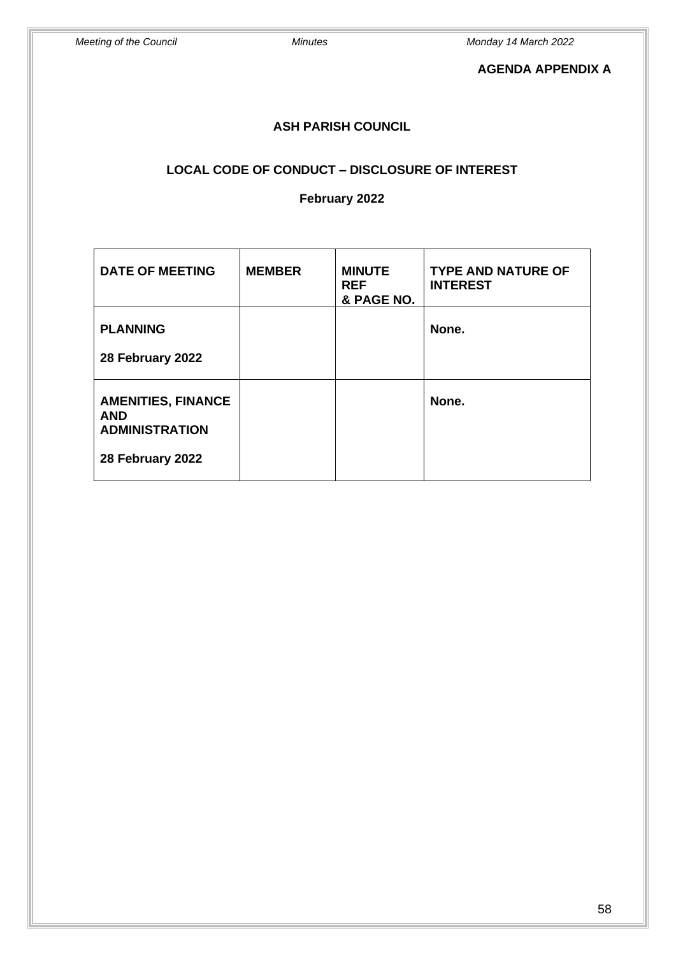# **AGENDA APPENDIX A**

# **ASH PARISH COUNCIL**

# **LOCAL CODE OF CONDUCT – DISCLOSURE OF INTEREST**

#### **February 2022**

| <b>DATE OF MEETING</b>                                                               | <b>MEMBER</b> | <b>MINUTE</b><br><b>REF</b><br>& PAGE NO. | <b>TYPE AND NATURE OF</b><br><b>INTEREST</b> |
|--------------------------------------------------------------------------------------|---------------|-------------------------------------------|----------------------------------------------|
| <b>PLANNING</b><br>28 February 2022                                                  |               |                                           | None.                                        |
| <b>AMENITIES, FINANCE</b><br><b>AND</b><br><b>ADMINISTRATION</b><br>28 February 2022 |               |                                           | None.                                        |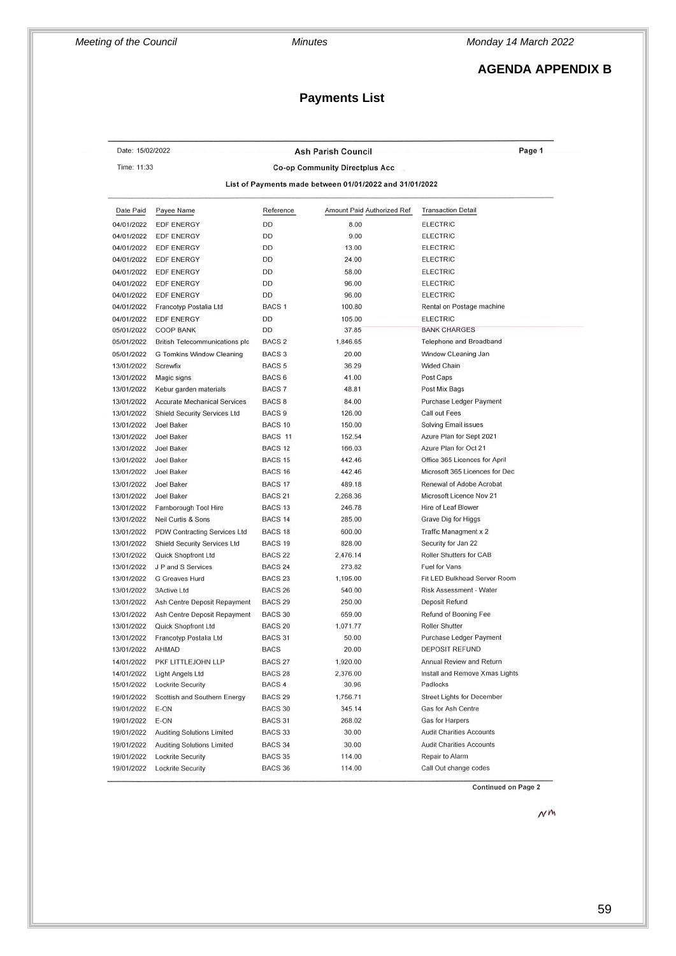# **AGENDA APPENDIX B**

# **Payments List**

| Date: 15/02/2022<br>Page 1<br><b>Ash Parish Council</b> |                                              |                    |                                                         |                                                         |
|---------------------------------------------------------|----------------------------------------------|--------------------|---------------------------------------------------------|---------------------------------------------------------|
| Time: 11:33                                             |                                              |                    | <b>Co-op Community Directplus Acc</b>                   |                                                         |
|                                                         |                                              |                    |                                                         |                                                         |
|                                                         |                                              |                    | List of Payments made between 01/01/2022 and 31/01/2022 |                                                         |
| Date Paid                                               | Payee Name                                   | Reference          | Amount Paid Authorized Ref                              | <b>Transaction Detail</b>                               |
| 04/01/2022                                              | EDF ENERGY                                   | DD                 | 8.00                                                    | <b>ELECTRIC</b>                                         |
| 04/01/2022                                              | <b>EDF ENERGY</b>                            | DD                 | 9.00                                                    | <b>ELECTRIC</b>                                         |
| 04/01/2022                                              | <b>EDF ENERGY</b>                            | <b>DD</b>          | 13.00                                                   | <b>ELECTRIC</b>                                         |
| 04/01/2022                                              | <b>EDF ENERGY</b>                            | DD                 | 24.00                                                   | <b>ELECTRIC</b>                                         |
| 04/01/2022                                              | <b>EDF ENERGY</b>                            | DD                 | 58.00                                                   | <b>ELECTRIC</b>                                         |
| 04/01/2022                                              | <b>EDF ENERGY</b>                            | DD                 | 96.00                                                   | <b>ELECTRIC</b>                                         |
| 04/01/2022                                              | <b>EDF ENERGY</b>                            | DD                 | 96.00                                                   | <b>ELECTRIC</b>                                         |
| 04/01/2022                                              | Francotyp Postalia Ltd                       | BACS <sub>1</sub>  | 100.80                                                  | Rental on Postage machine                               |
| 04/01/2022                                              | <b>EDF ENERGY</b>                            | DD                 | 105.00                                                  | <b>ELECTRIC</b>                                         |
| 05/01/2022                                              | <b>COOP BANK</b>                             | DD                 | 37.85                                                   | <b>BANK CHARGES</b>                                     |
| 05/01/2022                                              | <b>British Telecommunications plc</b>        | BACS <sub>2</sub>  | 1,846.65                                                | Telephone and Broadband                                 |
| 05/01/2022                                              | G Tomkins Window Cleaning                    | BACS <sub>3</sub>  | 20.00                                                   | Window CLeaning Jan                                     |
| 13/01/2022                                              | Screwfix                                     | <b>BACS 5</b>      | 36.29                                                   | <b>Wided Chain</b>                                      |
| 13/01/2022                                              | Magic signs                                  | BACS <sub>6</sub>  | 41.00                                                   | Post Caps                                               |
| 13/01/2022                                              | Kebur garden materials                       | BACS <sub>7</sub>  | 48.81                                                   | Post Mix Bags                                           |
| 13/01/2022                                              | <b>Accurate Mechanical Services</b>          | <b>BACS 8</b>      | 84.00                                                   | Purchase Ledger Payment                                 |
| 13/01/2022                                              | Shield Security Services Ltd                 | BACS <sub>9</sub>  | 126.00                                                  | Call out Fees                                           |
| 13/01/2022                                              | Joel Baker                                   | BACS <sub>10</sub> | 150.00                                                  | Solving Email issues                                    |
| 13/01/2022                                              | Joel Baker                                   | BACS 11            | 152.54                                                  | Azure Plan for Sept 2021                                |
| 13/01/2022                                              | Joel Baker                                   | BACS <sub>12</sub> | 166.03                                                  | Azure Plan for Oct 21                                   |
| 13/01/2022                                              | Joel Baker                                   | BACS <sub>15</sub> | 442.46                                                  | Office 365 Licences for April                           |
| 13/01/2022                                              | Joel Baker                                   | BACS <sub>16</sub> | 442.46                                                  | Microsoft 365 Licences for Dec                          |
| 13/01/2022                                              | Joel Baker                                   | BACS <sub>17</sub> | 489.18                                                  | Renewal of Adobe Acrobat                                |
| 13/01/2022                                              | Joel Baker                                   | <b>BACS 21</b>     | 2,268.36                                                | Microsoft Licence Nov 21                                |
| 13/01/2022                                              | Farnborough Tool Hire                        | BACS <sub>13</sub> | 246.78                                                  | Hire of Leaf Blower                                     |
| 13/01/2022                                              | Neil Curtis & Sons                           | BACS <sub>14</sub> | 285.00                                                  | Grave Dig for Higgs                                     |
| 13/01/2022                                              | PDW Contracting Services Ltd                 | BACS <sub>18</sub> | 600.00                                                  | Traffic Managment x 2                                   |
| 13/01/2022                                              | <b>Shield Security Services Ltd</b>          | BACS <sub>19</sub> | 828.00                                                  | Security for Jan 22                                     |
| 13/01/2022                                              | Quick Shopfront Ltd                          | BACS <sub>22</sub> | 2,476.14                                                | Roller Shutters for CAB                                 |
| 13/01/2022                                              | J P and S Services                           | BACS <sub>24</sub> | 273.82                                                  | Fuel for Vans                                           |
| 13/01/2022                                              | G Greaves Hurd                               | <b>BACS 23</b>     | 1,195.00                                                | Fit LED Bulkhead Server Room                            |
| 13/01/2022                                              | 3Active Ltd                                  | BACS <sub>26</sub> | 540.00                                                  | Risk Assessment - Water                                 |
| 13/01/2022                                              | Ash Centre Deposit Repayment                 | BACS <sub>29</sub> | 250.00                                                  | Deposit Refund                                          |
| 13/01/2022                                              | Ash Centre Deposit Repayment                 | BACS 30            | 659.00                                                  | Refund of Booning Fee                                   |
| 13/01/2022                                              | Quick Shopfront Ltd                          | BACS <sub>20</sub> | 1,071.77                                                | <b>Roller Shutter</b>                                   |
| 13/01/2022                                              | Francotyp Postalia Ltd                       | BACS 31            | 50.00                                                   | Purchase Ledger Payment                                 |
| 13/01/2022                                              | AHMAD                                        | BACS               | 20.00                                                   | DEPOSIT REFUND                                          |
|                                                         |                                              | BACS <sub>27</sub> | 1,920.00                                                | Annual Review and Return                                |
| 14/01/2022<br>14/01/2022                                | PKF LITTLEJOHN LLP                           | BACS <sub>28</sub> | 2,376.00                                                | Install and Remove Xmas Lights                          |
| 15/01/2022                                              | Light Angels Ltd<br><b>Lockrite Security</b> | BACS <sub>4</sub>  | 30.96                                                   | Padlocks                                                |
|                                                         |                                              |                    |                                                         |                                                         |
| 19/01/2022                                              | Scottish and Southern Energy                 | BACS <sub>29</sub> | 1,756.71                                                | <b>Street Lights for December</b><br>Gas for Ash Centre |
| 19/01/2022                                              | E-ON                                         | BACS 30            | 345.14                                                  | <b>Gas for Harpers</b>                                  |
| 19/01/2022                                              | E-ON                                         | BACS 31            | 268.02                                                  |                                                         |
| 19/01/2022                                              | <b>Auditing Solutions Limited</b>            | BACS 33            | 30.00                                                   | <b>Audit Charities Accounts</b>                         |
| 19/01/2022                                              | <b>Auditing Solutions Limited</b>            | BACS 34            | 30.00                                                   | <b>Audit Charities Accounts</b>                         |
| 19/01/2022                                              | <b>Lockrite Security</b>                     | BACS 35            | 114.00                                                  | Repair to Alarm                                         |
| 19/01/2022                                              | <b>Lockrite Security</b>                     | BACS 36            | 114.00                                                  | Call Out change codes                                   |

**Continued on Page 2** 

 $\mathcal{N}^{\mathsf{m}}$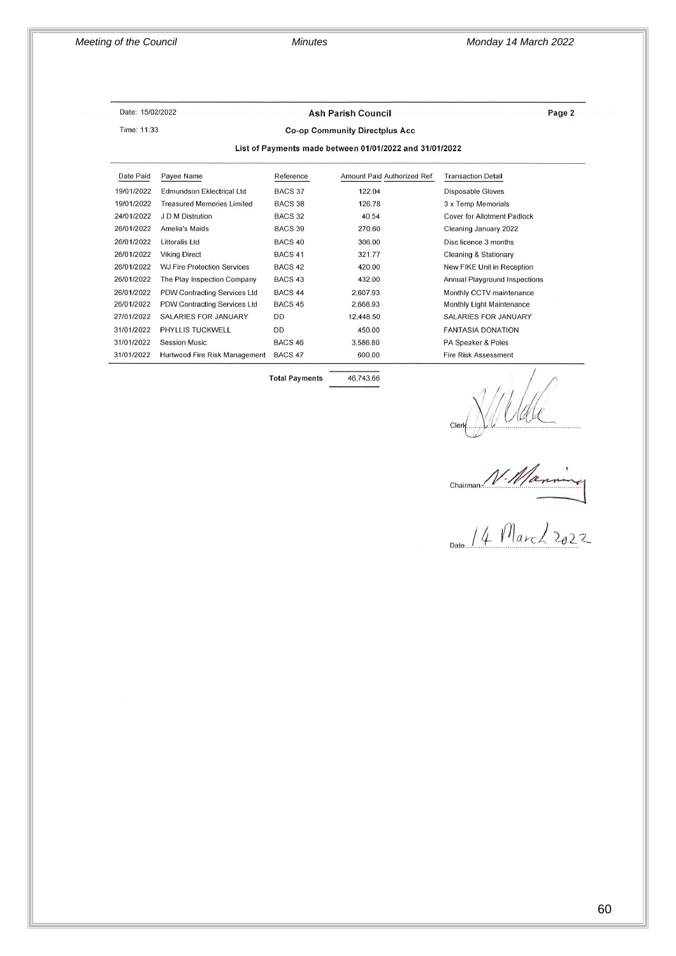#### Date: 15/02/2022 Time: 11:33

#### **Ash Parish Council**

Page 2

#### **Co-op Community Directplus Acc**

List of Payments made between 01/01/2022 and 31/01/2022

| Date Paid  | Payee Name                         | Reference          | Amount Paid Authorized Ref | <b>Transaction Detail</b>     |
|------------|------------------------------------|--------------------|----------------------------|-------------------------------|
| 19/01/2022 | Edmundson Eklectrical Ltd          | BACS 37            | 122.04                     | Disposable Gloves             |
| 19/01/2022 | <b>Treasured Memories Limited</b>  | BACS 38            | 126.78                     | 3 x Temp Memorials            |
| 24/01/2022 | J D M Distrution                   | BACS <sub>32</sub> | 40.54                      | Cover for Allotment Padlock   |
| 26/01/2022 | Amelia's Maids                     | BACS 39            | 270.60                     | Cleaning January 2022         |
| 26/01/2022 | Littoralis Ltd                     | BACS <sub>40</sub> | 306.00                     | Disc licence 3 months         |
| 26/01/2022 | <b>Viking Direct</b>               | BACS <sub>41</sub> | 321.77                     | Cleaning & Stationary         |
| 26/01/2022 | <b>WJ Fire Protection Services</b> | BACS <sub>42</sub> | 420.00                     | New FIKE Unit in Reception    |
| 26/01/2022 | The Play Inspection Company        | BACS <sub>43</sub> | 432.00                     | Annual Playground Inspections |
| 26/01/2022 | PDW Contracting Services Ltd       | BACS <sub>44</sub> | 2.607.93                   | Monthly CCTV maintenance      |
| 26/01/2022 | PDW Contracting Services Ltd       | BACS <sub>45</sub> | 2,668.93                   | Monthly Light Maintenance     |
| 27/01/2022 | SALARIES FOR JANUARY               | <b>DD</b>          | 12,448.50                  | <b>SALARIES FOR JANUARY</b>   |
| 31/01/2022 | <b>PHYLLIS TUCKWELL</b>            | <b>DD</b>          | 450.00                     | <b>FANTASIA DONATION</b>      |
| 31/01/2022 | <b>Session Music</b>               | BACS <sub>46</sub> | 3.586.80                   | PA Speaker & Poles            |
| 31/01/2022 | Hurtwood Fire Risk Management      | BACS <sub>47</sub> | 600.00                     | <b>Fire Risk Assessment</b>   |

**Total Payments** 

46,743.66

Clern Willel<br>Chairman N. Maximing